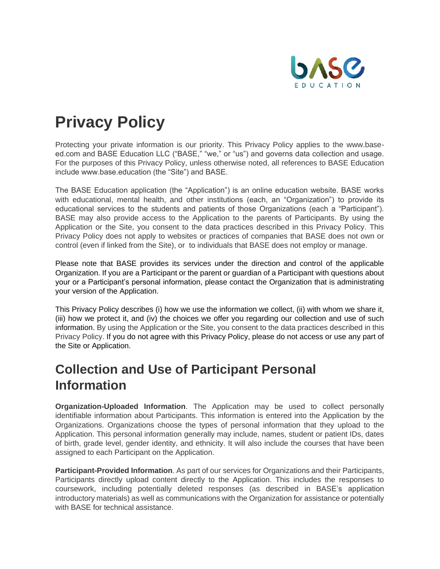

# **Privacy Policy**

Protecting your private information is our priority. This Privacy Policy applies to the www.baseed.com and BASE Education LLC ("BASE," "we," or "us") and governs data collection and usage. For the purposes of this Privacy Policy, unless otherwise noted, all references to BASE Education include www.base.education (the "Site") and BASE.

The BASE Education application (the "Application") is an online education website. BASE works with educational, mental health, and other institutions (each, an "Organization") to provide its educational services to the students and patients of those Organizations (each a "Participant"). BASE may also provide access to the Application to the parents of Participants. By using the Application or the Site, you consent to the data practices described in this Privacy Policy. This Privacy Policy does not apply to websites or practices of companies that BASE does not own or control (even if linked from the Site), or to individuals that BASE does not employ or manage.

Please note that BASE provides its services under the direction and control of the applicable Organization. If you are a Participant or the parent or guardian of a Participant with questions about your or a Participant's personal information, please contact the Organization that is administrating your version of the Application.

This Privacy Policy describes (i) how we use the information we collect, (ii) with whom we share it, (iii) how we protect it, and (iv) the choices we offer you regarding our collection and use of such information. By using the Application or the Site, you consent to the data practices described in this Privacy Policy. If you do not agree with this Privacy Policy, please do not access or use any part of the Site or Application.

#### **Collection and Use of Participant Personal Information**

**Organization-Uploaded Information**. The Application may be used to collect personally identifiable information about Participants. This information is entered into the Application by the Organizations. Organizations choose the types of personal information that they upload to the Application. This personal information generally may include, names, student or patient IDs, dates of birth, grade level, gender identity, and ethnicity. It will also include the courses that have been assigned to each Participant on the Application.

**Participant-Provided Information**. As part of our services for Organizations and their Participants, Participants directly upload content directly to the Application. This includes the responses to coursework, including potentially deleted responses (as described in BASE's application introductory materials) as well as communications with the Organization for assistance or potentially with BASE for technical assistance.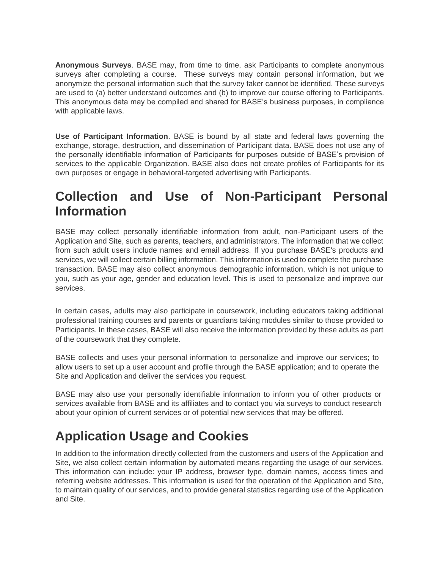**Anonymous Surveys**. BASE may, from time to time, ask Participants to complete anonymous surveys after completing a course. These surveys may contain personal information, but we anonymize the personal information such that the survey taker cannot be identified. These surveys are used to (a) better understand outcomes and (b) to improve our course offering to Participants. This anonymous data may be compiled and shared for BASE's business purposes, in compliance with applicable laws.

**Use of Participant Information**. BASE is bound by all state and federal laws governing the exchange, storage, destruction, and dissemination of Participant data. BASE does not use any of the personally identifiable information of Participants for purposes outside of BASE's provision of services to the applicable Organization. BASE also does not create profiles of Participants for its own purposes or engage in behavioral-targeted advertising with Participants.

#### **Collection and Use of Non-Participant Personal Information**

BASE may collect personally identifiable information from adult, non-Participant users of the Application and Site, such as parents, teachers, and administrators. The information that we collect from such adult users include names and email address. If you purchase BASE's products and services, we will collect certain billing information. This information is used to complete the purchase transaction. BASE may also collect anonymous demographic information, which is not unique to you, such as your age, gender and education level. This is used to personalize and improve our services.

In certain cases, adults may also participate in coursework, including educators taking additional professional training courses and parents or guardians taking modules similar to those provided to Participants. In these cases, BASE will also receive the information provided by these adults as part of the coursework that they complete.

BASE collects and uses your personal information to personalize and improve our services; to allow users to set up a user account and profile through the BASE application; and to operate the Site and Application and deliver the services you request.

BASE may also use your personally identifiable information to inform you of other products or services available from BASE and its affiliates and to contact you via surveys to conduct research about your opinion of current services or of potential new services that may be offered.

# **Application Usage and Cookies**

In addition to the information directly collected from the customers and users of the Application and Site, we also collect certain information by automated means regarding the usage of our services. This information can include: your IP address, browser type, domain names, access times and referring website addresses. This information is used for the operation of the Application and Site, to maintain quality of our services, and to provide general statistics regarding use of the Application and Site.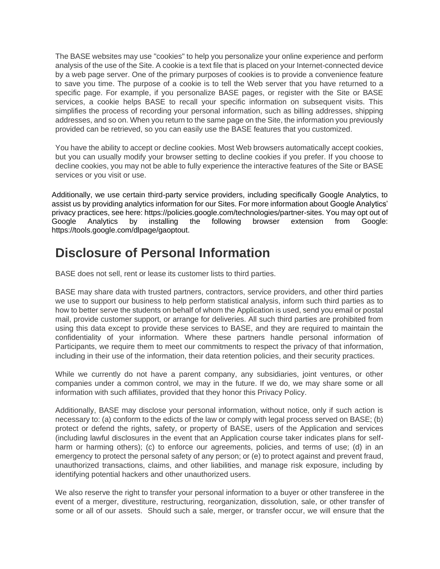The BASE websites may use "cookies" to help you personalize your online experience and perform analysis of the use of the Site. A cookie is a text file that is placed on your Internet-connected device by a web page server. One of the primary purposes of cookies is to provide a convenience feature to save you time. The purpose of a cookie is to tell the Web server that you have returned to a specific page. For example, if you personalize BASE pages, or register with the Site or BASE services, a cookie helps BASE to recall your specific information on subsequent visits. This simplifies the process of recording your personal information, such as billing addresses, shipping addresses, and so on. When you return to the same page on the Site, the information you previously provided can be retrieved, so you can easily use the BASE features that you customized.

You have the ability to accept or decline cookies. Most Web browsers automatically accept cookies, but you can usually modify your browser setting to decline cookies if you prefer. If you choose to decline cookies, you may not be able to fully experience the interactive features of the Site or BASE services or you visit or use.

Additionally, we use certain third-party service providers, including specifically Google Analytics, to assist us by providing analytics information for our Sites. For more information about Google Analytics' privacy practices, see here: https://policies.google.com/technologies/partner-sites. You may opt out of Google Analytics by installing the following browser extension from Google: https://tools.google.com/dlpage/gaoptout.

#### **Disclosure of Personal Information**

BASE does not sell, rent or lease its customer lists to third parties.

BASE may share data with trusted partners, contractors, service providers, and other third parties we use to support our business to help perform statistical analysis, inform such third parties as to how to better serve the students on behalf of whom the Application is used, send you email or postal mail, provide customer support, or arrange for deliveries. All such third parties are prohibited from using this data except to provide these services to BASE, and they are required to maintain the confidentiality of your information. Where these partners handle personal information of Participants, we require them to meet our commitments to respect the privacy of that information, including in their use of the information, their data retention policies, and their security practices.

While we currently do not have a parent company, any subsidiaries, joint ventures, or other companies under a common control, we may in the future. If we do, we may share some or all information with such affiliates, provided that they honor this Privacy Policy.

Additionally, BASE may disclose your personal information, without notice, only if such action is necessary to: (a) conform to the edicts of the law or comply with legal process served on BASE; (b) protect or defend the rights, safety, or property of BASE, users of the Application and services (including lawful disclosures in the event that an Application course taker indicates plans for selfharm or harming others); (c) to enforce our agreements, policies, and terms of use; (d) in an emergency to protect the personal safety of any person; or (e) to protect against and prevent fraud, unauthorized transactions, claims, and other liabilities, and manage risk exposure, including by identifying potential hackers and other unauthorized users.

We also reserve the right to transfer your personal information to a buyer or other transferee in the event of a merger, divestiture, restructuring, reorganization, dissolution, sale, or other transfer of some or all of our assets. Should such a sale, merger, or transfer occur, we will ensure that the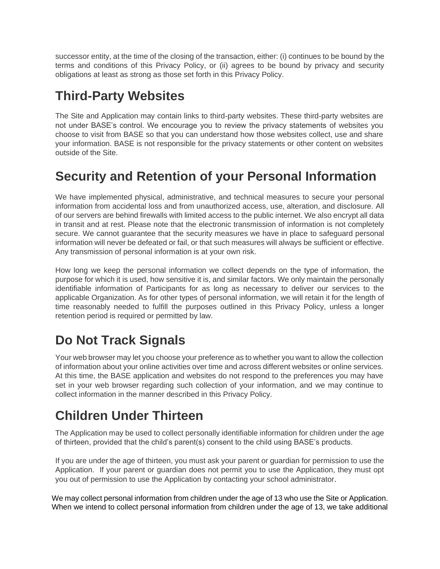successor entity, at the time of the closing of the transaction, either: (i) continues to be bound by the terms and conditions of this Privacy Policy, or (ii) agrees to be bound by privacy and security obligations at least as strong as those set forth in this Privacy Policy.

# **Third-Party Websites**

The Site and Application may contain links to third-party websites. These third-party websites are not under BASE's control. We encourage you to review the privacy statements of websites you choose to visit from BASE so that you can understand how those websites collect, use and share your information. BASE is not responsible for the privacy statements or other content on websites outside of the Site.

## **Security and Retention of your Personal Information**

We have implemented physical, administrative, and technical measures to secure your personal information from accidental loss and from unauthorized access, use, alteration, and disclosure. All of our servers are behind firewalls with limited access to the public internet. We also encrypt all data in transit and at rest. Please note that the electronic transmission of information is not completely secure. We cannot guarantee that the security measures we have in place to safeguard personal information will never be defeated or fail, or that such measures will always be sufficient or effective. Any transmission of personal information is at your own risk.

How long we keep the personal information we collect depends on the type of information, the purpose for which it is used, how sensitive it is, and similar factors. We only maintain the personally identifiable information of Participants for as long as necessary to deliver our services to the applicable Organization. As for other types of personal information, we will retain it for the length of time reasonably needed to fulfill the purposes outlined in this Privacy Policy, unless a longer retention period is required or permitted by law.

# **Do Not Track Signals**

Your web browser may let you choose your preference as to whether you want to allow the collection of information about your online activities over time and across different websites or online services. At this time, the BASE application and websites do not respond to the preferences you may have set in your web browser regarding such collection of your information, and we may continue to collect information in the manner described in this Privacy Policy.

### **Children Under Thirteen**

The Application may be used to collect personally identifiable information for children under the age of thirteen, provided that the child's parent(s) consent to the child using BASE's products.

If you are under the age of thirteen, you must ask your parent or guardian for permission to use the Application. If your parent or guardian does not permit you to use the Application, they must opt you out of permission to use the Application by contacting your school administrator.

We may collect personal information from children under the age of 13 who use the Site or Application. When we intend to collect personal information from children under the age of 13, we take additional